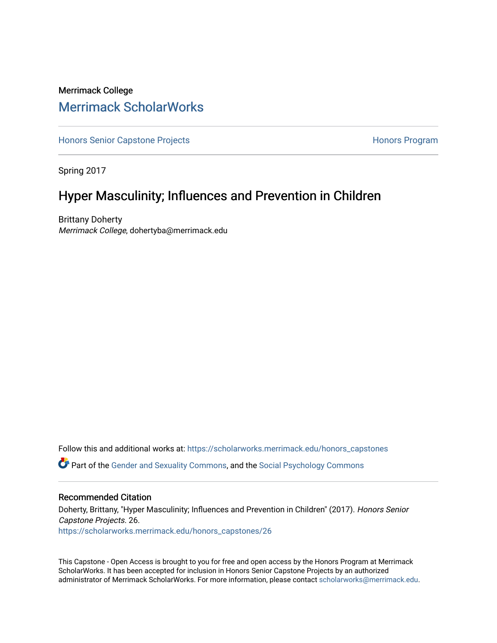### Merrimack College [Merrimack ScholarWorks](https://scholarworks.merrimack.edu/)

[Honors Senior Capstone Projects](https://scholarworks.merrimack.edu/honors_capstones) **Honors Program** Honors Program

Spring 2017

## Hyper Masculinity; Influences and Prevention in Children

Brittany Doherty Merrimack College, dohertyba@merrimack.edu

Follow this and additional works at: [https://scholarworks.merrimack.edu/honors\\_capstones](https://scholarworks.merrimack.edu/honors_capstones?utm_source=scholarworks.merrimack.edu%2Fhonors_capstones%2F26&utm_medium=PDF&utm_campaign=PDFCoverPages) Part of the [Gender and Sexuality Commons](http://network.bepress.com/hgg/discipline/420?utm_source=scholarworks.merrimack.edu%2Fhonors_capstones%2F26&utm_medium=PDF&utm_campaign=PDFCoverPages), and the [Social Psychology Commons](http://network.bepress.com/hgg/discipline/414?utm_source=scholarworks.merrimack.edu%2Fhonors_capstones%2F26&utm_medium=PDF&utm_campaign=PDFCoverPages) 

### Recommended Citation

Doherty, Brittany, "Hyper Masculinity; Influences and Prevention in Children" (2017). Honors Senior Capstone Projects. 26. [https://scholarworks.merrimack.edu/honors\\_capstones/26](https://scholarworks.merrimack.edu/honors_capstones/26?utm_source=scholarworks.merrimack.edu%2Fhonors_capstones%2F26&utm_medium=PDF&utm_campaign=PDFCoverPages) 

This Capstone - Open Access is brought to you for free and open access by the Honors Program at Merrimack ScholarWorks. It has been accepted for inclusion in Honors Senior Capstone Projects by an authorized administrator of Merrimack ScholarWorks. For more information, please contact [scholarworks@merrimack.edu](mailto:scholarworks@merrimack.edu).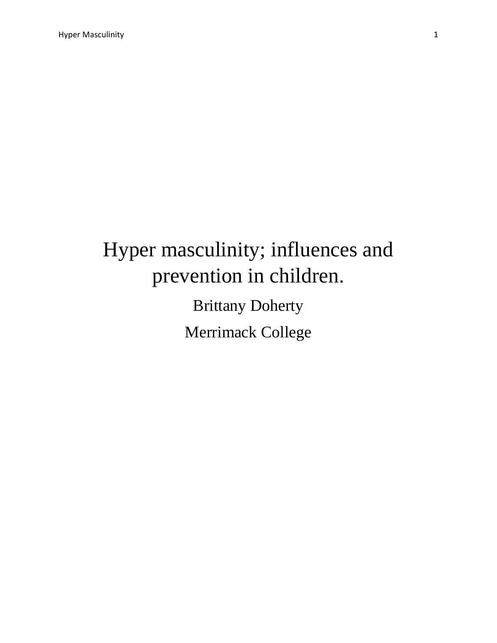# Hyper masculinity; influences and prevention in children.

Brittany Doherty Merrimack College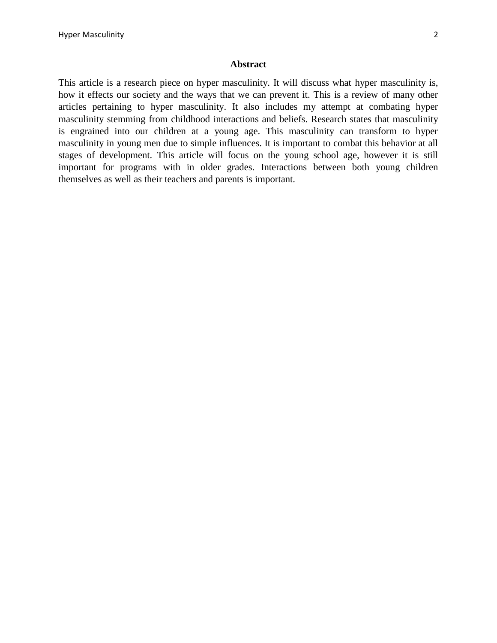### **Abstract**

This article is a research piece on hyper masculinity. It will discuss what hyper masculinity is, how it effects our society and the ways that we can prevent it. This is a review of many other articles pertaining to hyper masculinity. It also includes my attempt at combating hyper masculinity stemming from childhood interactions and beliefs. Research states that masculinity is engrained into our children at a young age. This masculinity can transform to hyper masculinity in young men due to simple influences. It is important to combat this behavior at all stages of development. This article will focus on the young school age, however it is still important for programs with in older grades. Interactions between both young children themselves as well as their teachers and parents is important.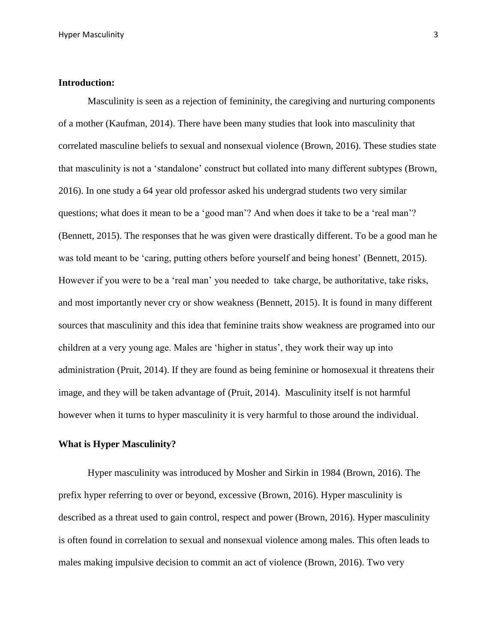### **Introduction:**

Masculinity is seen as a rejection of femininity, the caregiving and nurturing components of a mother (Kaufman, 2014). There have been many studies that look into masculinity that correlated masculine beliefs to sexual and nonsexual violence (Brown, 2016). These studies state that masculinity is not a 'standalone' construct but collated into many different subtypes (Brown, 2016). In one study a 64 year old professor asked his undergrad students two very similar questions; what does it mean to be a 'good man'? And when does it take to be a 'real man'? (Bennett, 2015). The responses that he was given were drastically different. To be a good man he was told meant to be 'caring, putting others before yourself and being honest' (Bennett, 2015). However if you were to be a 'real man' you needed to take charge, be authoritative, take risks, and most importantly never cry or show weakness (Bennett, 2015). It is found in many different sources that masculinity and this idea that feminine traits show weakness are programed into our children at a very young age. Males are 'higher in status', they work their way up into administration (Pruit, 2014). If they are found as being feminine or homosexual it threatens their image, and they will be taken advantage of (Pruit, 2014). Masculinity itself is not harmful however when it turns to hyper masculinity it is very harmful to those around the individual.

### **What is Hyper Masculinity?**

Hyper masculinity was introduced by Mosher and Sirkin in 1984 (Brown, 2016). The prefix hyper referring to over or beyond, excessive (Brown, 2016). Hyper masculinity is described as a threat used to gain control, respect and power (Brown, 2016). Hyper masculinity is often found in correlation to sexual and nonsexual violence among males. This often leads to males making impulsive decision to commit an act of violence (Brown, 2016). Two very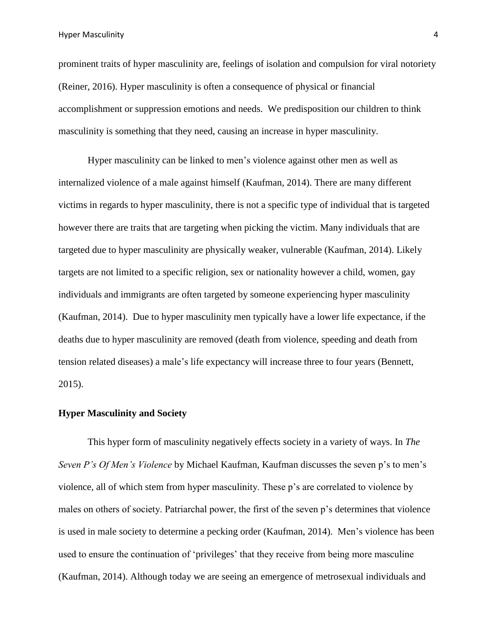prominent traits of hyper masculinity are, feelings of isolation and compulsion for viral notoriety (Reiner, 2016). Hyper masculinity is often a consequence of physical or financial accomplishment or suppression emotions and needs. We predisposition our children to think masculinity is something that they need, causing an increase in hyper masculinity.

Hyper masculinity can be linked to men's violence against other men as well as internalized violence of a male against himself (Kaufman, 2014). There are many different victims in regards to hyper masculinity, there is not a specific type of individual that is targeted however there are traits that are targeting when picking the victim. Many individuals that are targeted due to hyper masculinity are physically weaker, vulnerable (Kaufman, 2014). Likely targets are not limited to a specific religion, sex or nationality however a child, women, gay individuals and immigrants are often targeted by someone experiencing hyper masculinity (Kaufman, 2014). Due to hyper masculinity men typically have a lower life expectance, if the deaths due to hyper masculinity are removed (death from violence, speeding and death from tension related diseases) a male's life expectancy will increase three to four years (Bennett, 2015).

### **Hyper Masculinity and Society**

This hyper form of masculinity negatively effects society in a variety of ways. In *The Seven P's Of Men's Violence* by Michael Kaufman, Kaufman discusses the seven p's to men's violence, all of which stem from hyper masculinity. These p's are correlated to violence by males on others of society. Patriarchal power, the first of the seven p's determines that violence is used in male society to determine a pecking order (Kaufman, 2014). Men's violence has been used to ensure the continuation of 'privileges' that they receive from being more masculine (Kaufman, 2014). Although today we are seeing an emergence of metrosexual individuals and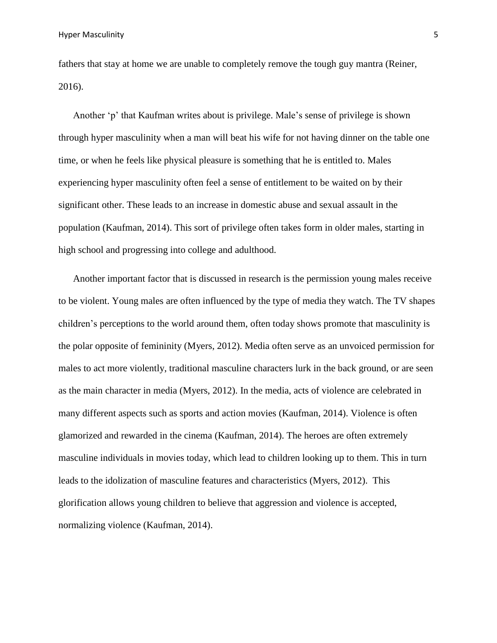fathers that stay at home we are unable to completely remove the tough guy mantra (Reiner, 2016).

Another 'p' that Kaufman writes about is privilege. Male's sense of privilege is shown through hyper masculinity when a man will beat his wife for not having dinner on the table one time, or when he feels like physical pleasure is something that he is entitled to. Males experiencing hyper masculinity often feel a sense of entitlement to be waited on by their significant other. These leads to an increase in domestic abuse and sexual assault in the population (Kaufman, 2014). This sort of privilege often takes form in older males, starting in high school and progressing into college and adulthood.

Another important factor that is discussed in research is the permission young males receive to be violent. Young males are often influenced by the type of media they watch. The TV shapes children's perceptions to the world around them, often today shows promote that masculinity is the polar opposite of femininity (Myers, 2012). Media often serve as an unvoiced permission for males to act more violently, traditional masculine characters lurk in the back ground, or are seen as the main character in media (Myers, 2012). In the media, acts of violence are celebrated in many different aspects such as sports and action movies (Kaufman, 2014). Violence is often glamorized and rewarded in the cinema (Kaufman, 2014). The heroes are often extremely masculine individuals in movies today, which lead to children looking up to them. This in turn leads to the idolization of masculine features and characteristics (Myers, 2012). This glorification allows young children to believe that aggression and violence is accepted, normalizing violence (Kaufman, 2014).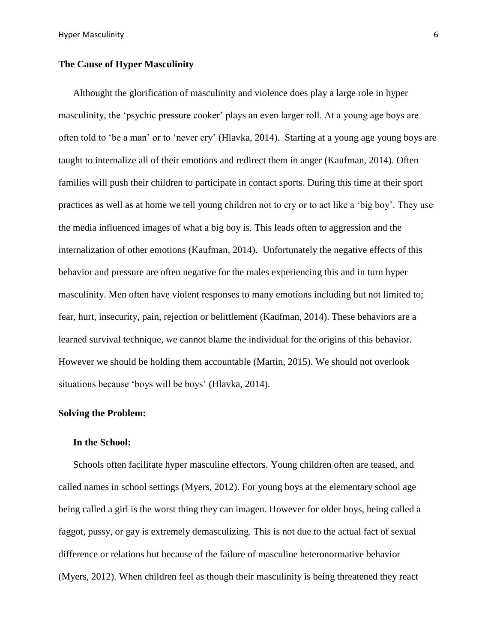### **The Cause of Hyper Masculinity**

Althought the glorification of masculinity and violence does play a large role in hyper masculinity, the 'psychic pressure cooker' plays an even larger roll. At a young age boys are often told to 'be a man' or to 'never cry' (Hlavka, 2014). Starting at a young age young boys are taught to internalize all of their emotions and redirect them in anger (Kaufman, 2014). Often families will push their children to participate in contact sports. During this time at their sport practices as well as at home we tell young children not to cry or to act like a 'big boy'. They use the media influenced images of what a big boy is. This leads often to aggression and the internalization of other emotions (Kaufman, 2014). Unfortunately the negative effects of this behavior and pressure are often negative for the males experiencing this and in turn hyper masculinity. Men often have violent responses to many emotions including but not limited to; fear, hurt, insecurity, pain, rejection or belittlement (Kaufman, 2014). These behaviors are a learned survival technique, we cannot blame the individual for the origins of this behavior. However we should be holding them accountable (Martin, 2015). We should not overlook situations because 'boys will be boys' (Hlavka, 2014).

### **Solving the Problem:**

### **In the School:**

Schools often facilitate hyper masculine effectors. Young children often are teased, and called names in school settings (Myers, 2012). For young boys at the elementary school age being called a girl is the worst thing they can imagen. However for older boys, being called a faggot, pussy, or gay is extremely demasculizing. This is not due to the actual fact of sexual difference or relations but because of the failure of masculine heteronormative behavior (Myers, 2012). When children feel as though their masculinity is being threatened they react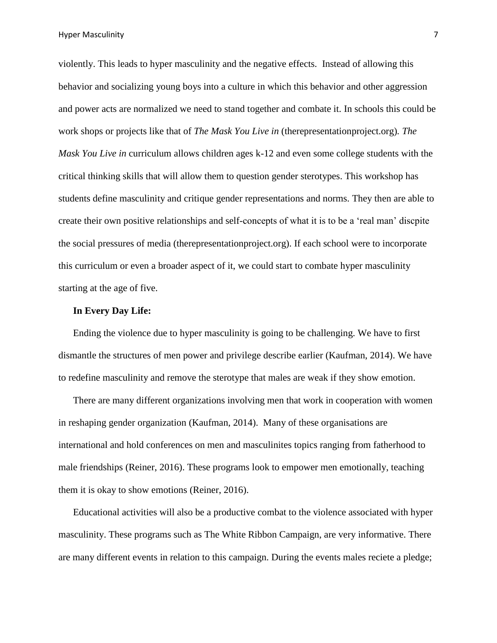Hyper Masculinity 7

violently. This leads to hyper masculinity and the negative effects. Instead of allowing this behavior and socializing young boys into a culture in which this behavior and other aggression and power acts are normalized we need to stand together and combate it. In schools this could be work shops or projects like that of *The Mask You Live in* (therepresentationproject.org)*. The Mask You Live in* curriculum allows children ages k-12 and even some college students with the critical thinking skills that will allow them to question gender sterotypes. This workshop has students define masculinity and critique gender representations and norms. They then are able to create their own positive relationships and self-concepts of what it is to be a 'real man' discpite the social pressures of media (therepresentationproject.org). If each school were to incorporate this curriculum or even a broader aspect of it, we could start to combate hyper masculinity starting at the age of five.

### **In Every Day Life:**

Ending the violence due to hyper masculinity is going to be challenging. We have to first dismantle the structures of men power and privilege describe earlier (Kaufman, 2014). We have to redefine masculinity and remove the sterotype that males are weak if they show emotion.

There are many different organizations involving men that work in cooperation with women in reshaping gender organization (Kaufman, 2014). Many of these organisations are international and hold conferences on men and masculinites topics ranging from fatherhood to male friendships (Reiner, 2016). These programs look to empower men emotionally, teaching them it is okay to show emotions (Reiner, 2016).

Educational activities will also be a productive combat to the violence associated with hyper masculinity. These programs such as The White Ribbon Campaign, are very informative. There are many different events in relation to this campaign. During the events males reciete a pledge;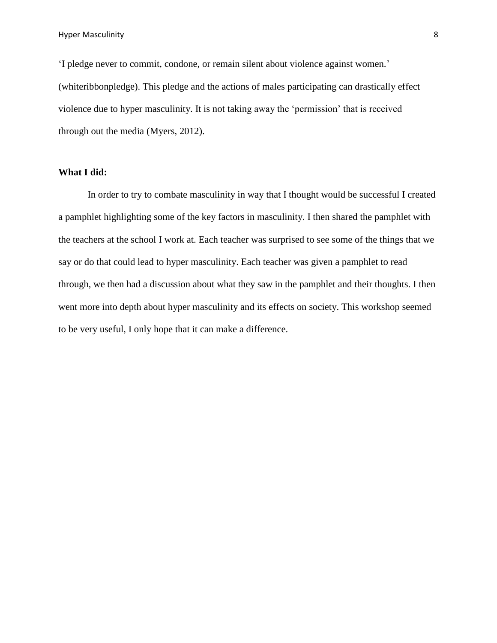'I pledge never to commit, condone, or remain silent about violence against women.' (whiteribbonpledge). This pledge and the actions of males participating can drastically effect violence due to hyper masculinity. It is not taking away the 'permission' that is received through out the media (Myers, 2012).

### **What I did:**

In order to try to combate masculinity in way that I thought would be successful I created a pamphlet highlighting some of the key factors in masculinity. I then shared the pamphlet with the teachers at the school I work at. Each teacher was surprised to see some of the things that we say or do that could lead to hyper masculinity. Each teacher was given a pamphlet to read through, we then had a discussion about what they saw in the pamphlet and their thoughts. I then went more into depth about hyper masculinity and its effects on society. This workshop seemed to be very useful, I only hope that it can make a difference.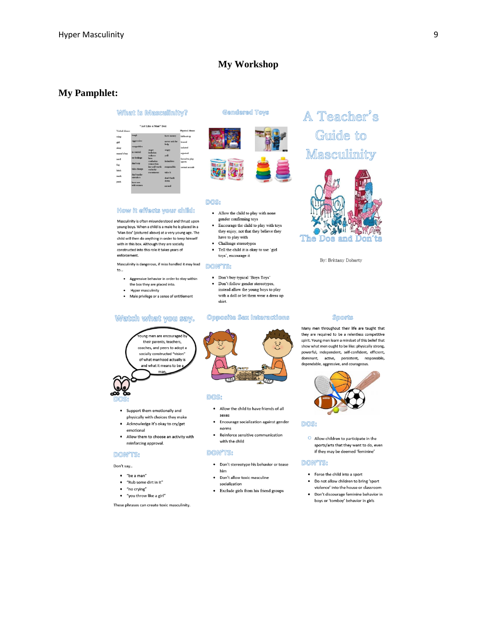### **My Wor kshop**

### **My Pamphlet:**

#### What is Masculinity?

| Verhal Abnee: |                        |                             |                       | Physical Abuse: |
|---------------|------------------------|-----------------------------|-----------------------|-----------------|
| wino          | tough                  |                             | have money            | hit/heat un     |
| girl          | angressive             |                             | wayor ack for<br>help | teased          |
| sissy         | competitive            | anger                       | angry                 | isalated        |
| mama's hov    | in control             | isolation                   |                       | rejected        |
| nerd          | no feelings            | codnecc<br>lawn             | yell                  | forced to play  |
| fag           | don't cry              | roofecian<br>comertion      | istimidate            | sports          |
| hitch         | take charge            | low self-worth<br>curiosity | responsible           | seyeal accords  |
|               |                        | recentment                  | take in               |                 |
| mark          | don't make<br>mistakas |                             | Asse's hard-          |                 |
| punk          | have sex               |                             | down                  |                 |
|               | with women.            |                             | surard                |                 |

#### How it effects your child:

Masculinity is often misunderstood and thrust upon young boys. When a child is a male he is placed in a 'Man Box' (pictured above) at a very young age. The child will then do anything in order to keep himself with in this box. Although they are socially constructed into this role it takes years of enforcement.

Masculinity is dangerous, if miss handled it may lead  $\mathsf{to}$ ...

- $\bullet$ Aggressive behavior in order to stay within the box they are placed into.
- Hyper masculinity

 $\ddot{\phantom{0}}$ 

· Male privilege or a sense of entitlement

#### Watch what you say.

ung men are encouraged b their parents, teachers, coaches, and peers to adopt a socially constructed "vision" of what manhood actually is and what it means to be man

• Support them emotionally and physically with choices they make

- Acknowledge it's okay to cry/get
- emotional • Allow them to choose an activity with reinforcing approval.

#### **DON'TS:**

#### Don't say..

- · "be a man"
- $\bullet$  "Rub some dirt in it"
- · "no crying"
- "you throw like a girl"

These phrases can create toxic masculinity.

### **Gendered Toys**



### DOS:

- Allow the child to play with none gender confirming toys
- Encourage the child to play with toys they enjoy, not that they believe they have to play with
- Challenge stereotypes
- · Tell the child it is okay to use 'girl toys', encourage it

#### **DON'TS:**

- $\bullet$   $\;$  Don't buy typical 'Boys Toys'
- skirt.

### Opposite Sex Interactions



#### DOS:

- . Allow the child to have friends of all sexes
- Encourage socialization against gender norms
- Reinforce sensitive communication with the child

#### **DON'TS:**

- · Don't stereotype his behavior or tease
- him • Don't allow toxic masculine
- socialization
- · Exclude girls from his friend groups

## A Teacher's Guide to Masculinity



By: Brittany Doherty

#### **Sports**

Many men throughout their life are taught that they are required to be a relentless competitive spirit. Young men learn a mindset of this belief that show what men ought to be like: physically strong, powerful, independent, self-confident, efficient, dominant, active, persistent, responsible, dependable, aggressive, and courageous



#### DOS:

 $\bullet$  Allow children to participate in the sports/arts that they want to do, even if they may be deemed 'feminine'

#### **DON'TS:**

- Force the child into a sport
- . Do not allow children to bring 'sport violence' into the house or classroom
- · Don't discourage feminine behavior in boys or 'tomboy' behavior in girls



#### • Don't follow gender stereotypes, instead allow the young boys to play with a doll or let them wear a dress up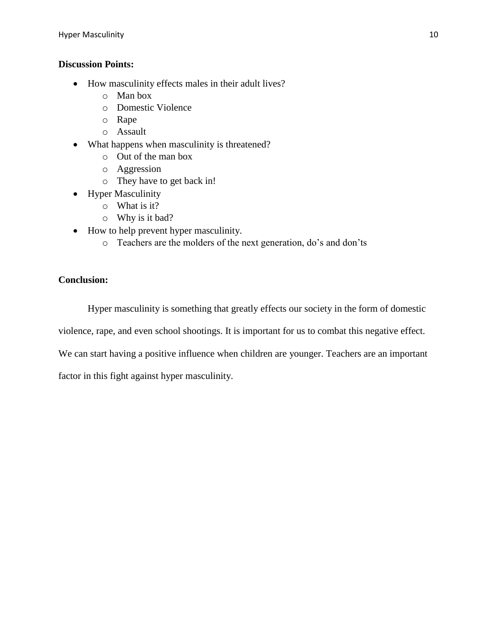### **Discussion Points:**

- How masculinity effects males in their adult lives?
	- o Man box
	- o Domestic Violence
	- o Rape
	- o Assault
- What happens when masculinity is threatened?
	- o Out of the man box
	- o Aggression
	- o They have to get back in!
- Hyper Masculinity
	- o What is it?
	- o Why is it bad?
- How to help prevent hyper masculinity.
	- o Teachers are the molders of the next generation, do's and don'ts

### **Conclusion:**

Hyper masculinity is something that greatly effects our society in the form of domestic

violence, rape, and even school shootings. It is important for us to combat this negative effect.

We can start having a positive influence when children are younger. Teachers are an important

factor in this fight against hyper masculinity.